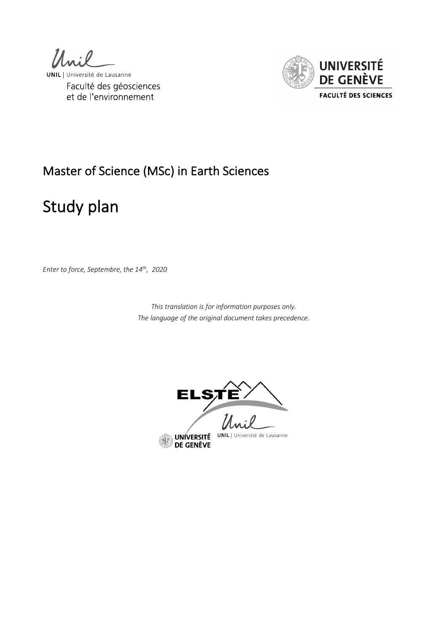



# Master of Science (MSc) in Earth Sciences

# Study plan

*Enter to force, Septembre, the 14th, 2020*

*This translation is for information purposes only. The language of the original document takes precedence.*



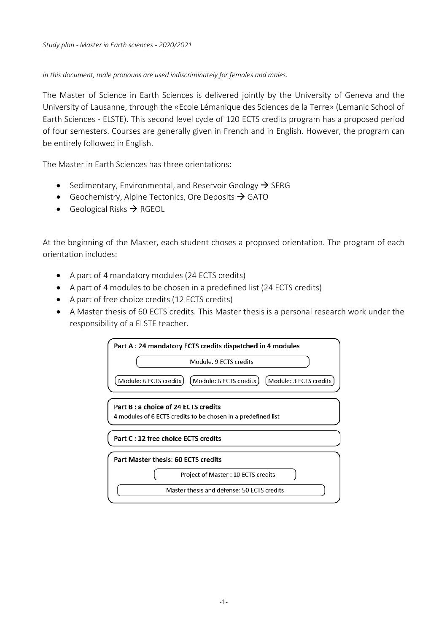*Study plan - Master in Earth sciences - 2020/2021*

*In this document, male pronouns are used indiscriminately for females and males.* 

The Master of Science in Earth Sciences is delivered jointly by the University of Geneva and the University of Lausanne, through the «Ecole Lémanique des Sciences de la Terre» (Lemanic School of Earth Sciences - ELSTE). This second level cycle of 120 ECTS credits program has a proposed period of four semesters. Courses are generally given in French and in English. However, the program can be entirely followed in English.

The Master in Earth Sciences has three orientations:

- Sedimentary, Environmental, and Reservoir Geology  $\rightarrow$  SERG
- Geochemistry, Alpine Tectonics, Ore Deposits  $\rightarrow$  GATO
- Geological Risks  $\rightarrow$  RGEOL

At the beginning of the Master, each student choses a proposed orientation. The program of each orientation includes:

- A part of 4 mandatory modules (24 ECTS credits)
- A part of 4 modules to be chosen in a predefined list (24 ECTS credits)
- A part of free choice credits (12 ECTS credits)
- A Master thesis of 60 ECTS credits. This Master thesis is a personal research work under the responsibility of a ELSTE teacher.

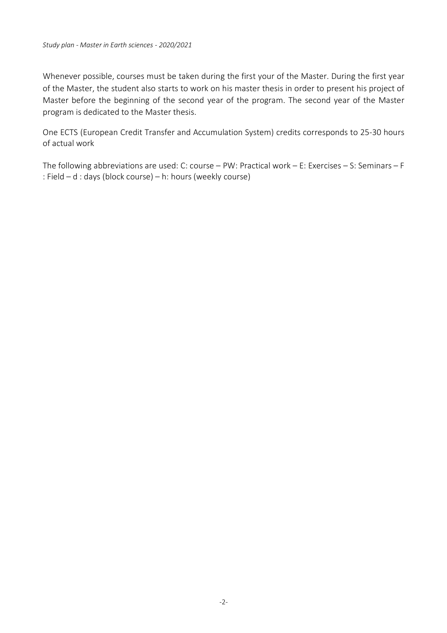Whenever possible, courses must be taken during the first your of the Master. During the first year of the Master, the student also starts to work on his master thesis in order to present his project of Master before the beginning of the second year of the program. The second year of the Master program is dedicated to the Master thesis.

One ECTS (European Credit Transfer and Accumulation System) credits corresponds to 25-30 hours of actual work

The following abbreviations are used: C: course – PW: Practical work – E: Exercises – S: Seminars – F : Field – d : days (block course) – h: hours (weekly course)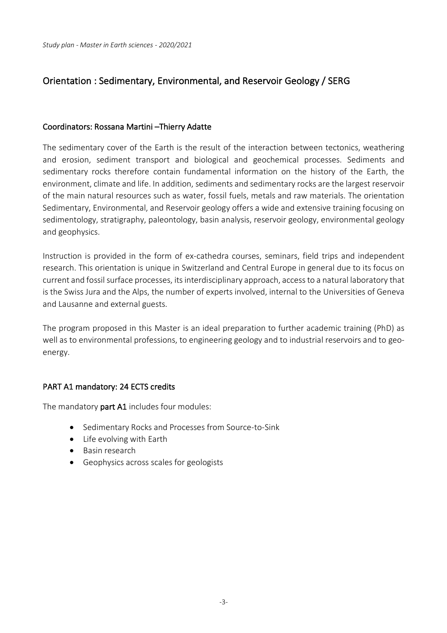## Orientation : Sedimentary, Environmental, and Reservoir Geology / SERG

#### Coordinators: Rossana Martini –Thierry Adatte

The sedimentary cover of the Earth is the result of the interaction between tectonics, weathering and erosion, sediment transport and biological and geochemical processes. Sediments and sedimentary rocks therefore contain fundamental information on the history of the Earth, the environment, climate and life. In addition, sediments and sedimentary rocks are the largest reservoir of the main natural resources such as water, fossil fuels, metals and raw materials. The orientation Sedimentary, Environmental, and Reservoir geology offers a wide and extensive training focusing on sedimentology, stratigraphy, paleontology, basin analysis, reservoir geology, environmental geology and geophysics.

Instruction is provided in the form of ex-cathedra courses, seminars, field trips and independent research. This orientation is unique in Switzerland and Central Europe in general due to its focus on current and fossil surface processes, its interdisciplinary approach, access to a natural laboratory that is the Swiss Jura and the Alps, the number of experts involved, internal to the Universities of Geneva and Lausanne and external guests.

The program proposed in this Master is an ideal preparation to further academic training (PhD) as well as to environmental professions, to engineering geology and to industrial reservoirs and to geoenergy.

## PART A1 mandatory: 24 ECTS credits

The mandatory part A1 includes four modules:

- Sedimentary Rocks and Processes from Source-to-Sink
- Life evolving with Earth
- Basin research
- Geophysics across scales for geologists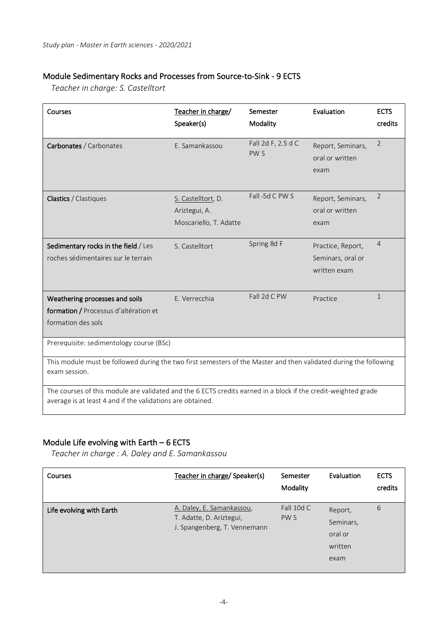## Module Sedimentary Rocks and Processes from Source-to-Sink - 9 ECTS

*Teacher in charge: S. Castelltort*

| Courses                                                                                                                                                                      | Teacher in charge/<br>Speaker(s)                              | Semester<br>Modality                  | Evaluation                                             | <b>ECTS</b><br>credits |
|------------------------------------------------------------------------------------------------------------------------------------------------------------------------------|---------------------------------------------------------------|---------------------------------------|--------------------------------------------------------|------------------------|
| Carbonates / Carbonates                                                                                                                                                      | E. Samankassou                                                | Fall 2d F, 2.5 d C<br>PW <sub>S</sub> | Report, Seminars,<br>oral or written<br>exam           | 2                      |
| <b>Clastics / Clastiques</b>                                                                                                                                                 | S. Castelltort, D.<br>Ariztegui, A.<br>Moscariello, T. Adatte | Fall 5d C PW S                        | Report, Seminars,<br>oral or written<br>exam           | 2                      |
| Sedimentary rocks in the field / Les<br>roches sédimentaires sur le terrain                                                                                                  | S. Castelltort                                                | Spring 8d F                           | Practice, Report,<br>Seminars, oral or<br>written exam | $\overline{4}$         |
| Weathering processes and soils<br>formation / Processus d'altération et<br>formation des sols                                                                                | E. Verrecchia                                                 | Fall 2d C PW                          | Practice                                               | $\mathbf{1}$           |
| Prerequisite: sedimentology course (BSc)                                                                                                                                     |                                                               |                                       |                                                        |                        |
| This module must be followed during the two first semesters of the Master and then validated during the following<br>exam session.                                           |                                                               |                                       |                                                        |                        |
| The courses of this module are validated and the 6 ECTS credits earned in a block if the credit-weighted grade<br>average is at least 4 and if the validations are obtained. |                                                               |                                       |                                                        |                        |

## Module Life evolving with Earth – 6 ECTS

*Teacher in charge : A. Daley and E. Samankassou*

| <b>Courses</b>           | Teacher in charge/ Speaker(s)                                                         | Semester<br>Modality | Evaluation                                         | <b>ECTS</b><br>credits |
|--------------------------|---------------------------------------------------------------------------------------|----------------------|----------------------------------------------------|------------------------|
| Life evolving with Earth | A. Daley, E. Samankassou,<br>T. Adatte, D. Ariztegui,<br>J. Spangenberg, T. Vennemann | Fall 10d C<br>PW S   | Report,<br>Seminars,<br>oral or<br>written<br>exam | 6                      |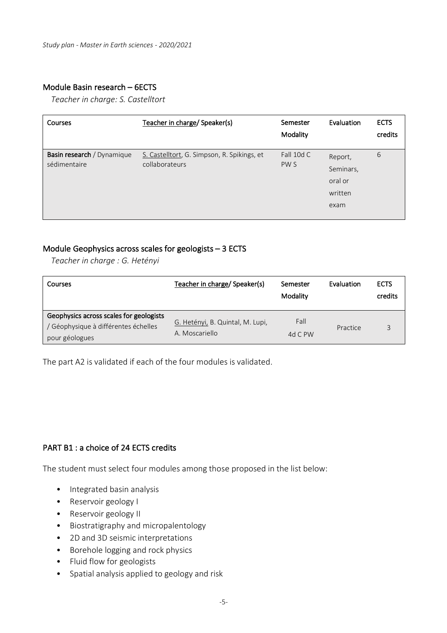## Module Basin research – 6ECTS

*Teacher in charge: S. Castelltort*

| Courses                                    | Teacher in charge/ Speaker(s)                                 | Semester<br>Modality | Evaluation                                         | <b>ECTS</b><br>credits |
|--------------------------------------------|---------------------------------------------------------------|----------------------|----------------------------------------------------|------------------------|
| Basin research / Dynamique<br>sédimentaire | S. Castelltort, G. Simpson, R. Spikings, et<br>collaborateurs | Fall 10d C<br>PW S   | Report,<br>Seminars,<br>oral or<br>written<br>exam | 6                      |

## Module Geophysics across scales for geologists – 3 ECTS

*Teacher in charge : G. Hetényi*

| Courses                                                                                         | Teacher in charge/ Speaker(s)                      | Semester<br>Modality | Evaluation | <b>ECTS</b><br>credits |
|-------------------------------------------------------------------------------------------------|----------------------------------------------------|----------------------|------------|------------------------|
| Geophysics across scales for geologists<br>Géophysique à différentes échelles<br>pour géologues | G. Hetényi, B. Quintal, M. Lupi,<br>A. Moscariello | Fall<br>4d C $PW$    | Practice   |                        |

The part A2 is validated if each of the four modules is validated.

## PART B1 : a choice of 24 ECTS credits

The student must select four modules among those proposed in the list below:

- Integrated basin analysis
- Reservoir geology I
- Reservoir geology II
- Biostratigraphy and micropalentology
- 2D and 3D seismic interpretations
- Borehole logging and rock physics
- Fluid flow for geologists
- Spatial analysis applied to geology and risk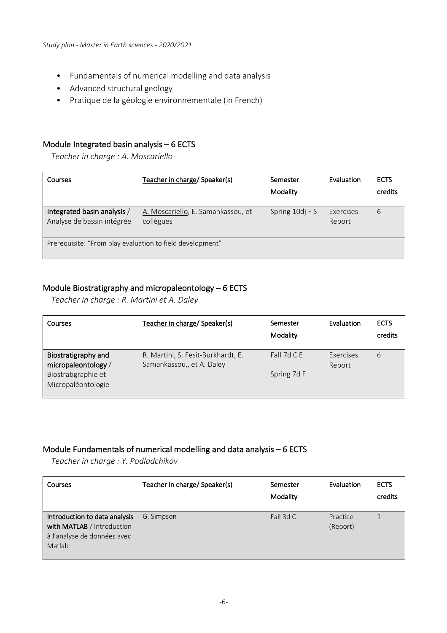- Fundamentals of numerical modelling and data analysis
- Advanced structural geology
- Pratique de la géologie environnementale (in French)

#### Module Integrated basin analysis – 6 ECTS

*Teacher in charge : A. Moscariello*

| Courses                                                   | Teacher in charge/ Speaker(s)                   | Semester<br>Modality | Evaluation          | <b>ECTS</b><br>credits |
|-----------------------------------------------------------|-------------------------------------------------|----------------------|---------------------|------------------------|
| Integrated basin analysis /<br>Analyse de bassin intégrée | A. Moscariello, E. Samankassou, et<br>collègues | Spring 10dj F S      | Exercises<br>Report | 6                      |
| Prerequisite: "From play evaluation to field development" |                                                 |                      |                     |                        |

## Module Biostratigraphy and micropaleontology – 6 ECTS

*Teacher in charge : R. Martini et A. Daley*

| Courses                                    | Teacher in charge/ Speaker(s)                                   | Semester<br>Modality | Evaluation          | <b>ECTS</b><br>credits |
|--------------------------------------------|-----------------------------------------------------------------|----------------------|---------------------|------------------------|
| Biostratigraphy and<br>micropaleontology / | R. Martini, S. Fesit-Burkhardt, E.<br>Samankassou,, et A. Daley | Fall 7d C E          | Exercises<br>Report | 6                      |
| Biostratigraphie et<br>Micropaléontologie  |                                                                 | Spring 7d F          |                     |                        |

#### Module Fundamentals of numerical modelling and data analysis – 6 ECTS

*Teacher in charge : Y. Podladchikov*

| Courses                                                                                              | Teacher in charge/ Speaker(s) | Semester<br>Modality | Evaluation           | <b>ECTS</b><br>credits |
|------------------------------------------------------------------------------------------------------|-------------------------------|----------------------|----------------------|------------------------|
| Introduction to data analysis<br>with MATLAB / Introduction<br>à l'analyse de données avec<br>Matlab | G. Simpson                    | Fall 3d C            | Practice<br>(Report) |                        |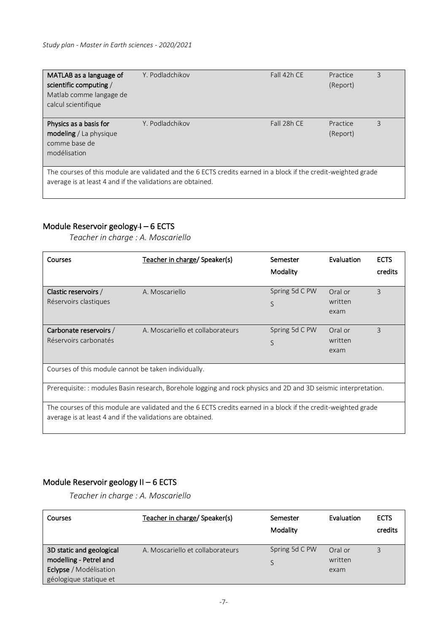| MATLAB as a language of<br>scientific computing /<br>Matlab comme langage de<br>calcul scientifique                                                                          | Y. Podladchikov | Fall 42h CE | Practice<br>(Report) | 3 |
|------------------------------------------------------------------------------------------------------------------------------------------------------------------------------|-----------------|-------------|----------------------|---|
| Physics as a basis for<br>modeling / La physique<br>comme base de<br>modélisation                                                                                            | Y. Podladchikov | Fall 28h CE | Practice<br>(Report) | 3 |
| The courses of this module are validated and the 6 ECTS credits earned in a block if the credit-weighted grade<br>average is at least 4 and if the validations are obtained. |                 |             |                      |   |

## Module Reservoir geology 4 - 6 ECTS

*Teacher in charge : A. Moscariello*

| Courses                                                                                                                                                                      | Teacher in charge/ Speaker(s)                                                                                   | Semester<br>Modality | Evaluation                 | <b>ECTS</b><br>credits |
|------------------------------------------------------------------------------------------------------------------------------------------------------------------------------|-----------------------------------------------------------------------------------------------------------------|----------------------|----------------------------|------------------------|
| Clastic reservoirs /<br>Réservoirs clastiques                                                                                                                                | A. Moscariello                                                                                                  | Spring 5d C PW<br>S  | Oral or<br>written<br>exam | 3                      |
| Carbonate reservoirs /<br>Réservoirs carbonatés                                                                                                                              | A. Moscariello et collaborateurs                                                                                | Spring 5d C PW<br>S  | Oral or<br>written<br>exam | 3                      |
| Courses of this module cannot be taken individually.                                                                                                                         |                                                                                                                 |                      |                            |                        |
|                                                                                                                                                                              | Prerequisite: : modules Basin research, Borehole logging and rock physics and 2D and 3D seismic interpretation. |                      |                            |                        |
| The courses of this module are validated and the 6 ECTS credits earned in a block if the credit-weighted grade<br>average is at least 4 and if the validations are obtained. |                                                                                                                 |                      |                            |                        |

## Module Reservoir geology II – 6 ECTS

*Teacher in charge : A. Moscariello*

| Courses                  | Teacher in charge/ Speaker(s)    | Semester<br>Modality | Evaluation | <b>ECTS</b><br>credits |
|--------------------------|----------------------------------|----------------------|------------|------------------------|
| 3D static and geological | A. Moscariello et collaborateurs | Spring 5d C PW       | Oral or    |                        |
| modelling - Petrel and   |                                  |                      | written    |                        |
| Eclypse / Modélisation   |                                  |                      | exam       |                        |
| géologique statique et   |                                  |                      |            |                        |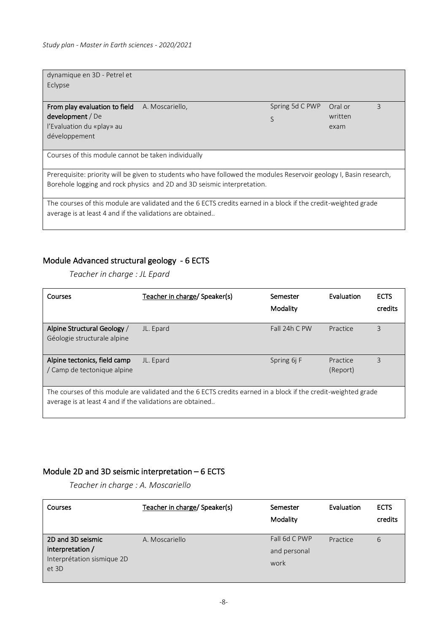| dynamique en 3D - Petrel et<br>Eclypse                    |                                                                                                                                                                                                |                      |                         |
|-----------------------------------------------------------|------------------------------------------------------------------------------------------------------------------------------------------------------------------------------------------------|----------------------|-------------------------|
| From play evaluation to field<br>development / De         | A. Moscariello,                                                                                                                                                                                | Spring 5d C PWP<br>S | Oral or<br>3<br>written |
| l'Evaluation du «play» au                                 |                                                                                                                                                                                                |                      | exam                    |
| développement                                             |                                                                                                                                                                                                |                      |                         |
| Courses of this module cannot be taken individually       |                                                                                                                                                                                                |                      |                         |
|                                                           | Prerequisite: priority will be given to students who have followed the modules Reservoir geology I, Basin research,<br>Borehole logging and rock physics and 2D and 3D seismic interpretation. |                      |                         |
| average is at least 4 and if the validations are obtained | The courses of this module are validated and the 6 ECTS credits earned in a block if the credit-weighted grade                                                                                 |                      |                         |

## Module Advanced structural geology - 6 ECTS

*Teacher in charge : JL Epard*

| Courses                                                                                                                                                                     | Teacher in charge/ Speaker(s) | Semester<br>Modality | Evaluation           | <b>ECTS</b><br>credits |
|-----------------------------------------------------------------------------------------------------------------------------------------------------------------------------|-------------------------------|----------------------|----------------------|------------------------|
| Alpine Structural Geology /<br>Géologie structurale alpine                                                                                                                  | JL. Epard                     | Fall 24h C PW        | Practice             | 3                      |
| Alpine tectonics, field camp<br>/ Camp de tectonique alpine                                                                                                                 | JL. Epard                     | Spring 6j F          | Practice<br>(Report) | 3                      |
| The courses of this module are validated and the 6 ECTS credits earned in a block if the credit-weighted grade<br>average is at least 4 and if the validations are obtained |                               |                      |                      |                        |

## Module 2D and 3D seismic interpretation – 6 ECTS

*Teacher in charge : A. Moscariello*

| Courses                             | Teacher in charge/ Speaker(s) | Semester<br>Modality | Evaluation | <b>ECTS</b><br>credits |
|-------------------------------------|-------------------------------|----------------------|------------|------------------------|
| 2D and 3D seismic                   | A. Moscariello                | Fall 6d C PWP        | Practice   | 6                      |
| interpretation /                    |                               | and personal         |            |                        |
| Interprétation sismique 2D<br>et 3D |                               | work                 |            |                        |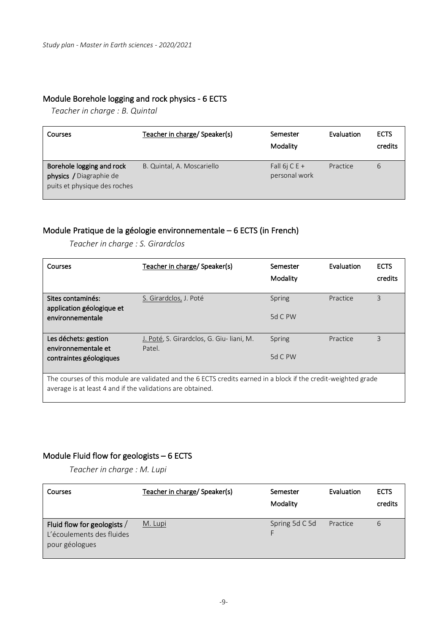## Module Borehole logging and rock physics - 6 ECTS

*Teacher in charge : B. Quintal*

| Courses                                                                              | Teacher in charge/ Speaker(s) | Semester<br>Modality           | Evaluation | <b>ECTS</b><br>credits |
|--------------------------------------------------------------------------------------|-------------------------------|--------------------------------|------------|------------------------|
| Borehole logging and rock<br>physics / Diagraphie de<br>puits et physique des roches | B. Quintal, A. Moscariello    | Fall 6j C E +<br>personal work | Practice   | 6                      |

## Module Pratique de la géologie environnementale – 6 ECTS (in French)

*Teacher in charge : S. Girardclos*

| Courses                                                                                                                                                                      | Teacher in charge/ Speaker(s)                      | Semester<br>Modality | Evaluation | <b>ECTS</b><br>credits |
|------------------------------------------------------------------------------------------------------------------------------------------------------------------------------|----------------------------------------------------|----------------------|------------|------------------------|
| Sites contaminés:<br>application géologique et                                                                                                                               | S. Girardclos, J. Poté                             | Spring               | Practice   | 3                      |
| environnementale                                                                                                                                                             |                                                    | $5d$ C PW            |            |                        |
| Les déchets: gestion<br>environnementale et                                                                                                                                  | J. Poté, S. Girardclos, G. Giu-liani, M.<br>Patel. | Spring               | Practice   | 3                      |
| contraintes géologiques                                                                                                                                                      |                                                    | 5d C PW              |            |                        |
| The courses of this module are validated and the 6 ECTS credits earned in a block if the credit-weighted grade<br>average is at least 4 and if the validations are obtained. |                                                    |                      |            |                        |

## Module Fluid flow for geologists – 6 ECTS

*Teacher in charge : M. Lupi*

| Courses                                                                    | Teacher in charge/ Speaker(s) | Semester<br>Modality | Evaluation | <b>ECTS</b><br>credits |
|----------------------------------------------------------------------------|-------------------------------|----------------------|------------|------------------------|
| Fluid flow for geologists /<br>L'écoulements des fluides<br>pour géologues | M. Lupi                       | Spring 5d C 5d       | Practice   | 6                      |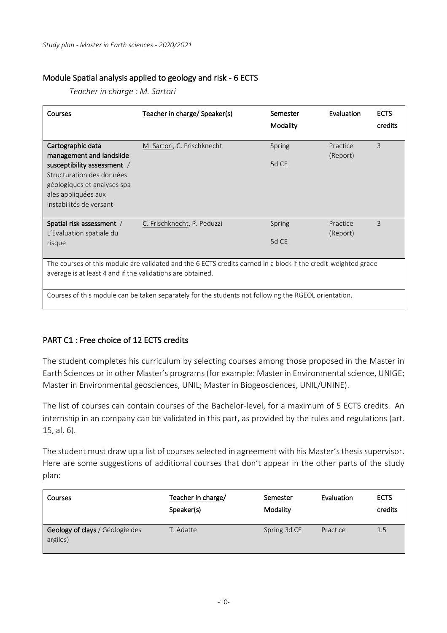## Module Spatial analysis applied to geology and risk - 6 ECTS

*Teacher in charge : M. Sartori*

| <b>Courses</b>                                                                                                                                                               | Teacher in charge/ Speaker(s)                                                                        | Semester        | Evaluation           | <b>ECTS</b> |  |  |
|------------------------------------------------------------------------------------------------------------------------------------------------------------------------------|------------------------------------------------------------------------------------------------------|-----------------|----------------------|-------------|--|--|
|                                                                                                                                                                              |                                                                                                      | Modality        |                      | credits     |  |  |
| Cartographic data<br>management and landslide                                                                                                                                | M. Sartori, C. Frischknecht                                                                          | Spring          | Practice<br>(Report) | 3           |  |  |
| susceptibility assessment /<br>Structuration des données<br>géologiques et analyses spa<br>ales appliquées aux<br>instabilités de versant                                    |                                                                                                      | 5d CE           |                      |             |  |  |
| Spatial risk assessment /<br>L'Evaluation spatiale du<br>risque                                                                                                              | C. Frischknecht, P. Peduzzi                                                                          | Spring<br>5d CE | Practice<br>(Report) | 3           |  |  |
| The courses of this module are validated and the 6 ECTS credits earned in a block if the credit-weighted grade<br>average is at least 4 and if the validations are obtained. |                                                                                                      |                 |                      |             |  |  |
|                                                                                                                                                                              | Courses of this module can be taken separately for the students not following the RGEOL orientation. |                 |                      |             |  |  |

## PART C1 : Free choice of 12 ECTS credits

The student completes his curriculum by selecting courses among those proposed in the Master in Earth Sciences or in other Master's programs (for example: Master in Environmental science, UNIGE; Master in Environmental geosciences, UNIL; Master in Biogeosciences, UNIL/UNINE).

The list of courses can contain courses of the Bachelor-level, for a maximum of 5 ECTS credits. An internship in an company can be validated in this part, as provided by the rules and regulations (art. 15, al. 6).

The student must draw up a list of courses selected in agreement with his Master's thesis supervisor. Here are some suggestions of additional courses that don't appear in the other parts of the study plan:

| Courses                                     | Teacher in charge/<br>Speaker(s) | Semester<br>Modality | Evaluation | <b>ECTS</b><br>credits |
|---------------------------------------------|----------------------------------|----------------------|------------|------------------------|
| Geology of clays / Géologie des<br>argiles) | T. Adatte                        | Spring 3d CE         | Practice   | 1.5                    |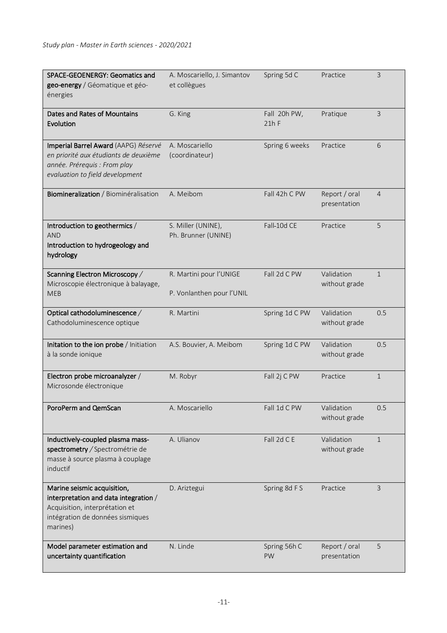| SPACE-GEOENERGY: Geomatics and<br>geo-energy / Géomatique et géo-<br>énergies                                                                          | A. Moscariello, J. Simantov<br>et collègues          | Spring 5d C             | Practice                      | 3              |
|--------------------------------------------------------------------------------------------------------------------------------------------------------|------------------------------------------------------|-------------------------|-------------------------------|----------------|
| Dates and Rates of Mountains<br>Evolution                                                                                                              | G. King                                              | Fall 20h PW,<br>$21h$ F | Pratique                      | 3              |
| Imperial Barrel Award (AAPG) Réservé<br>en priorité aux étudiants de deuxième<br>année. Prérequis : From play<br>evaluation to field development       | A. Moscariello<br>(coordinateur)                     | Spring 6 weeks          | Practice                      | 6              |
| Biomineralization / Biominéralisation                                                                                                                  | A. Meibom                                            | Fall 42h C PW           | Report / oral<br>presentation | $\overline{4}$ |
| Introduction to geothermics /<br><b>AND</b><br>Introduction to hydrogeology and<br>hydrology                                                           | S. Miller (UNINE),<br>Ph. Brunner (UNINE)            | Fall-10d CE             | Practice                      | 5              |
| Scanning Electron Microscopy /<br>Microscopie électronique à balayage,<br><b>MEB</b>                                                                   | R. Martini pour l'UNIGE<br>P. Vonlanthen pour l'UNIL | Fall 2d C PW            | Validation<br>without grade   | $\mathbf{1}$   |
| Optical cathodoluminescence /<br>Cathodoluminescence optique                                                                                           | R. Martini                                           | Spring 1d C PW          | Validation<br>without grade   | 0.5            |
| Initation to the ion probe / Initiation<br>à la sonde ionique                                                                                          | A.S. Bouvier, A. Meibom                              | Spring 1d C PW          | Validation<br>without grade   | 0.5            |
| Electron probe microanalyzer /<br>Microsonde électronique                                                                                              | M. Robyr                                             | Fall 2j C PW            | Practice                      | 1              |
| PoroPerm and QemScan                                                                                                                                   | A. Moscariello                                       | Fall 1d C PW            | Validation<br>without grade   | 0.5            |
| Inductively-coupled plasma mass-<br>spectrometry / Spectrométrie de<br>masse à source plasma à couplage<br>inductif                                    | A. Ulianov                                           | Fall 2d C E             | Validation<br>without grade   | $\mathbf{1}$   |
| Marine seismic acquisition,<br>interpretation and data integration /<br>Acquisition, interprétation et<br>intégration de données sismiques<br>marines) | D. Ariztegui                                         | Spring 8d F S           | Practice                      | 3              |
| Model parameter estimation and<br>uncertainty quantification                                                                                           | N. Linde                                             | Spring 56h C<br>PW      | Report / oral<br>presentation | 5              |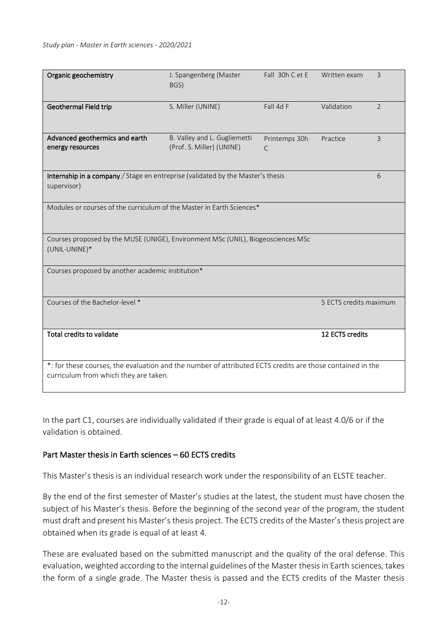#### *Study plan - Master in Earth sciences - 2020/2021*

| Organic geochemistry                                                                                                                               | J. Spangenberg (Master<br>BGS)                            | Fall 30h C et E    | Written exam    | $\overline{3}$ |  |
|----------------------------------------------------------------------------------------------------------------------------------------------------|-----------------------------------------------------------|--------------------|-----------------|----------------|--|
| Geothermal Field trip                                                                                                                              | S. Miller (UNINE)                                         | Fall 4d F          | Validation      | $\overline{2}$ |  |
| Advanced geothermics and earth<br>energy resources                                                                                                 | B. Valley and L. Gugliemetti<br>(Prof. S. Miller) (UNINE) | Printemps 30h<br>C | Practice        | $\overline{3}$ |  |
| Internship in a company / Stage en entreprise (validated by the Master's thesis<br>6<br>supervisor)                                                |                                                           |                    |                 |                |  |
| Modules or courses of the curriculum of the Master in Earth Sciences*                                                                              |                                                           |                    |                 |                |  |
| Courses proposed by the MUSE (UNIGE), Environment MSc (UNIL), Biogeosciences MSc<br>(UNIL-UNINE)*                                                  |                                                           |                    |                 |                |  |
| Courses proposed by another academic institution*                                                                                                  |                                                           |                    |                 |                |  |
| Courses of the Bachelor-level *<br>5 ECTS credits maximum                                                                                          |                                                           |                    |                 |                |  |
| Total credits to validate                                                                                                                          |                                                           |                    | 12 ECTS credits |                |  |
| *: for these courses, the evaluation and the number of attributed ECTS credits are those contained in the<br>curriculum from which they are taken. |                                                           |                    |                 |                |  |

In the part C1, courses are individually validated if their grade is equal of at least 4.0/6 or if the validation is obtained.

## Part Master thesis in Earth sciences – 60 ECTS credits

This Master's thesis is an individual research work under the responsibility of an ELSTE teacher.

By the end of the first semester of Master's studies at the latest, the student must have chosen the subject of his Master's thesis. Before the beginning of the second year of the program, the student must draft and present his Master's thesis project. The ECTS credits of the Master's thesis project are obtained when its grade is equal of at least 4.

These are evaluated based on the submitted manuscript and the quality of the oral defense. This evaluation, weighted according to the internal guidelines of the Master thesis in Earth sciences, takes the form of a single grade. The Master thesis is passed and the ECTS credits of the Master thesis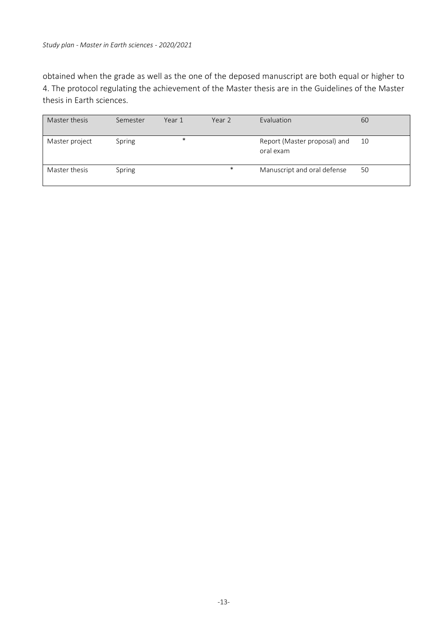obtained when the grade as well as the one of the deposed manuscript are both equal or higher to 4. The protocol regulating the achievement of the Master thesis are in the Guidelines of the Master thesis in Earth sciences.

| Master thesis  | Semester | Year 1 | Year 2 | Evaluation                                | 60 |
|----------------|----------|--------|--------|-------------------------------------------|----|
| Master project | Spring   | $\ast$ |        | Report (Master proposal) and<br>oral exam | 10 |
| Master thesis  | Spring   |        | $\ast$ | Manuscript and oral defense               | 50 |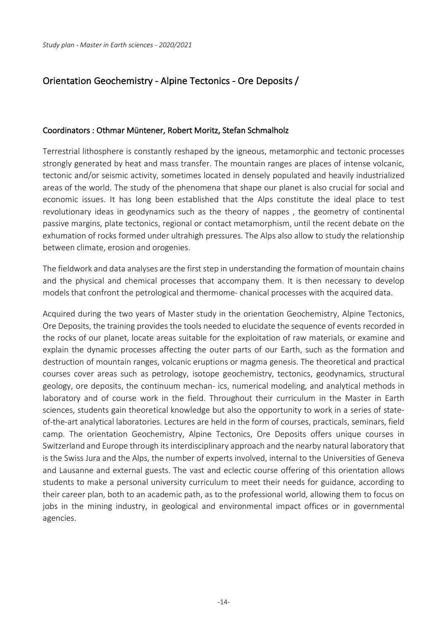## Orientation Geochemistry - Alpine Tectonics - Ore Deposits /

#### Coordinators : Othmar Müntener, Robert Moritz, Stefan Schmalholz

Terrestrial lithosphere is constantly reshaped by the igneous, metamorphic and tectonic processes strongly generated by heat and mass transfer. The mountain ranges are places of intense volcanic, tectonic and/or seismic activity, sometimes located in densely populated and heavily industrialized areas of the world. The study of the phenomena that shape our planet is also crucial for social and economic issues. It has long been established that the Alps constitute the ideal place to test revolutionary ideas in geodynamics such as the theory of nappes , the geometry of continental passive margins, plate tectonics, regional or contact metamorphism, until the recent debate on the exhumation of rocks formed under ultrahigh pressures. The Alps also allow to study the relationship between climate, erosion and orogenies.

The fieldwork and data analyses are the first step in understanding the formation of mountain chains and the physical and chemical processes that accompany them. It is then necessary to develop models that confront the petrological and thermome- chanical processes with the acquired data.

Acquired during the two years of Master study in the orientation Geochemistry, Alpine Tectonics, Ore Deposits, the training provides the tools needed to elucidate the sequence of events recorded in the rocks of our planet, locate areas suitable for the exploitation of raw materials, or examine and explain the dynamic processes affecting the outer parts of our Earth, such as the formation and destruction of mountain ranges, volcanic eruptions or magma genesis. The theoretical and practical courses cover areas such as petrology, isotope geochemistry, tectonics, geodynamics, structural geology, ore deposits, the continuum mechan- ics, numerical modeling, and analytical methods in laboratory and of course work in the field. Throughout their curriculum in the Master in Earth sciences, students gain theoretical knowledge but also the opportunity to work in a series of stateof-the-art analytical laboratories. Lectures are held in the form of courses, practicals, seminars, field camp. The orientation Geochemistry, Alpine Tectonics, Ore Deposits offers unique courses in Switzerland and Europe through its interdisciplinary approach and the nearby natural laboratory that is the Swiss Jura and the Alps, the number of experts involved, internal to the Universities of Geneva and Lausanne and external guests. The vast and eclectic course offering of this orientation allows students to make a personal university curriculum to meet their needs for guidance, according to their career plan, both to an academic path, as to the professional world, allowing them to focus on jobs in the mining industry, in geological and environmental impact offices or in governmental agencies.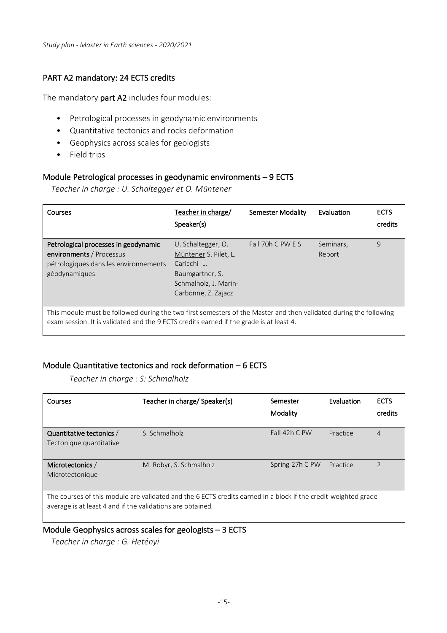*Study plan - Master in Earth sciences - 2020/2021*

## PART A2 mandatory: 24 ECTS credits

The mandatory part A2 includes four modules:

- Petrological processes in geodynamic environments
- Quantitative tectonics and rocks deformation
- Geophysics across scales for geologists
- Field trips

## Module Petrological processes in geodynamic environments – 9 ECTS

*Teacher in charge : U. Schaltegger et O. Müntener*

| Courses                                                                                                                                                                                                      | Teacher in charge/<br>Speaker(s)                                                                                              | Semester Modality | Evaluation          | <b>ECTS</b><br>credits |  |
|--------------------------------------------------------------------------------------------------------------------------------------------------------------------------------------------------------------|-------------------------------------------------------------------------------------------------------------------------------|-------------------|---------------------|------------------------|--|
| Petrological processes in geodynamic<br>environments / Processus<br>pétrologiques dans les environnements<br>géodynamiques                                                                                   | U. Schaltegger, O.<br>Müntener S. Pilet, L.<br>Caricchi L.<br>Baumgartner, S.<br>Schmalholz, J. Marin-<br>Carbonne, Z. Zajacz | Fall 70h C PW E S | Seminars,<br>Report | 9                      |  |
| This module must be followed during the two first semesters of the Master and then validated during the following<br>exam session. It is validated and the 9 ECTS credits earned if the grade is at least 4. |                                                                                                                               |                   |                     |                        |  |

## Module Quantitative tectonics and rock deformation – 6 ECTS

*Teacher in charge : S: Schmalholz*

| Courses                                                                                                                                                                      | Teacher in charge/ Speaker(s) | Semester<br>Modality | Evaluation | <b>ECTS</b><br>credits |
|------------------------------------------------------------------------------------------------------------------------------------------------------------------------------|-------------------------------|----------------------|------------|------------------------|
| Quantitative tectonics /<br>Tectonique quantitative                                                                                                                          | S. Schmalholz                 | Fall $42h$ C PW      | Practice   | 4                      |
| Microtectonics /<br>Microtectonique                                                                                                                                          | M. Robyr, S. Schmalholz       | Spring 27h C PW      | Practice   | $\overline{2}$         |
| The courses of this module are validated and the 6 ECTS credits earned in a block if the credit-weighted grade<br>average is at least 4 and if the validations are obtained. |                               |                      |            |                        |

#### Module Geophysics across scales for geologists – 3 ECTS

*Teacher in charge : G. Hetényi*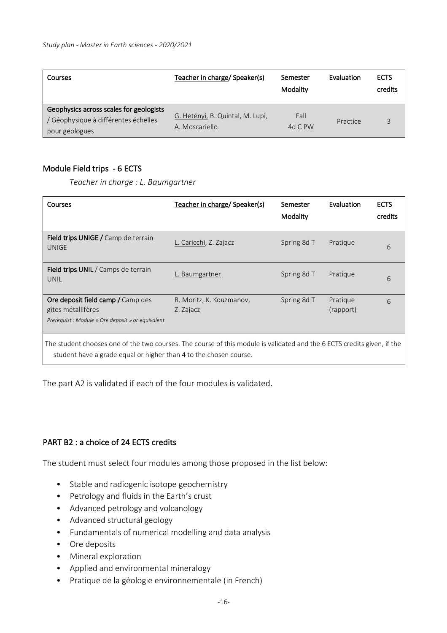| Courses                                                                                           | Teacher in charge/ Speaker(s)                      | Semester<br>Modality | Evaluation | <b>ECTS</b><br>credits |
|---------------------------------------------------------------------------------------------------|----------------------------------------------------|----------------------|------------|------------------------|
| Geophysics across scales for geologists<br>/ Géophysique à différentes échelles<br>pour géologues | G. Hetényi, B. Quintal, M. Lupi,<br>A. Moscariello | Fall<br>4d C PW      | Practice   |                        |

#### Module Field trips - 6 ECTS

*Teacher in charge : L. Baumgartner*

| Courses                                                                                                                                                                                      | Teacher in charge/ Speaker(s)         | Semester<br>Modality | Evaluation            | <b>ECTS</b><br>credits |  |
|----------------------------------------------------------------------------------------------------------------------------------------------------------------------------------------------|---------------------------------------|----------------------|-----------------------|------------------------|--|
| Field trips UNIGE / Camp de terrain<br><b>UNIGE</b>                                                                                                                                          | L. Caricchi, Z. Zajacz                | Spring 8d T          | Pratique              | 6                      |  |
| <b>Field trips UNIL</b> / Camps de terrain<br>UNIL                                                                                                                                           | L. Baumgartner                        | Spring 8d T          | Pratique              | 6                      |  |
| Ore deposit field camp / Camp des<br>gîtes métallifères<br>Prerequist: Module « Ore deposit » or equivalent                                                                                  | R. Moritz, K. Kouzmanov,<br>Z. Zajacz | Spring 8d T          | Pratique<br>(rapport) | 6                      |  |
| The student chooses one of the two courses. The course of this module is validated and the 6 ECTS credits given, if the<br>student have a grade equal or higher than 4 to the chosen course. |                                       |                      |                       |                        |  |

The part A2 is validated if each of the four modules is validated.

#### PART B2 : a choice of 24 ECTS credits

The student must select four modules among those proposed in the list below:

- Stable and radiogenic isotope geochemistry
- Petrology and fluids in the Earth's crust
- Advanced petrology and volcanology
- Advanced structural geology
- Fundamentals of numerical modelling and data analysis
- Ore deposits
- Mineral exploration
- Applied and environmental mineralogy
- Pratique de la géologie environnementale (in French)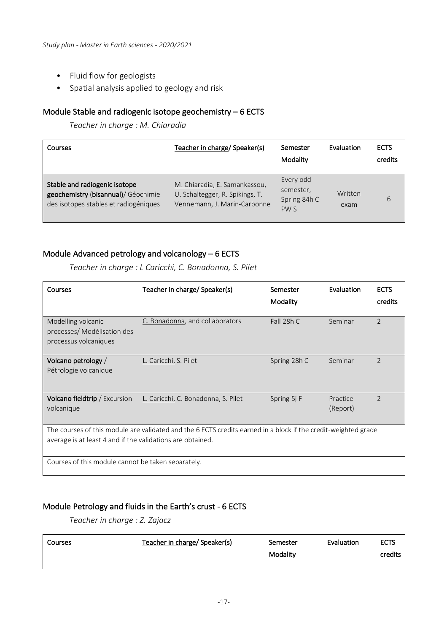- Fluid flow for geologists
- Spatial analysis applied to geology and risk

## Module Stable and radiogenic isotope geochemistry – 6 ECTS

*Teacher in charge : M. Chiaradia*

| Courses                                                                                                       | Teacher in charge/ Speaker(s)                                                                    | Semester<br>Modality                                      | Evaluation      | <b>ECTS</b><br>credits |
|---------------------------------------------------------------------------------------------------------------|--------------------------------------------------------------------------------------------------|-----------------------------------------------------------|-----------------|------------------------|
| Stable and radiogenic isotope<br>geochemistry (bisannual)/ Géochimie<br>des isotopes stables et radiogéniques | M. Chiaradia, E. Samankassou,<br>U. Schaltegger, R. Spikings, T.<br>Vennemann, J. Marin-Carbonne | Every odd<br>semester,<br>Spring 84h C<br>PW <sub>S</sub> | Written<br>exam | 6                      |

## Module Advanced petrology and volcanology – 6 ECTS

*Teacher in charge : L Caricchi, C. Bonadonna, S. Pilet*

| Courses                                                                                                                                                                      | Teacher in charge/ Speaker(s)       | Semester<br>Modality | Evaluation           | <b>ECTS</b><br>credits |  |
|------------------------------------------------------------------------------------------------------------------------------------------------------------------------------|-------------------------------------|----------------------|----------------------|------------------------|--|
| Modelling volcanic<br>processes/ Modélisation des<br>processus volcaniques                                                                                                   | C. Bonadonna, and collaborators     | Fall 28h C           | Seminar              | $\mathcal{P}$          |  |
| Volcano petrology /<br>Pétrologie volcanique                                                                                                                                 | L. Caricchi, S. Pilet               | Spring 28h C         | Seminar              | $\overline{2}$         |  |
| Volcano fieldtrip / Excursion<br>volcanique                                                                                                                                  | L. Caricchi, C. Bonadonna, S. Pilet | Spring 5j F          | Practice<br>(Report) | $\overline{2}$         |  |
| The courses of this module are validated and the 6 ECTS credits earned in a block if the credit-weighted grade<br>average is at least 4 and if the validations are obtained. |                                     |                      |                      |                        |  |
| Courses of this module cannot be taken separately.                                                                                                                           |                                     |                      |                      |                        |  |

## Module Petrology and fluids in the Earth's crust - 6 ECTS

*Teacher in charge : Z. Zajacz*

| Courses | Teacher in charge/ Speaker(s) | Semester | Evaluation | <b>ECTS</b> |
|---------|-------------------------------|----------|------------|-------------|
|         |                               | Modality |            | credits     |
|         |                               |          |            |             |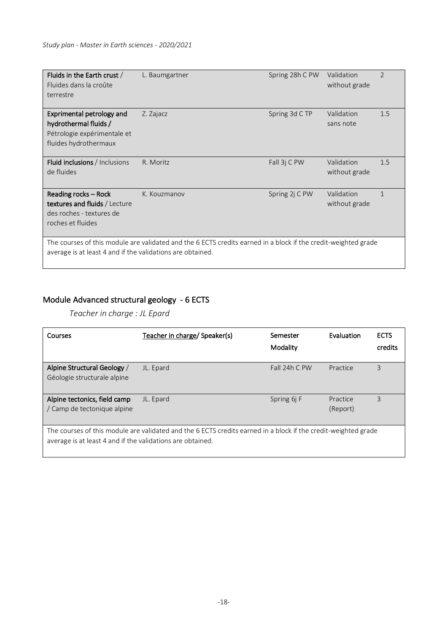| Fluids in the Earth crust /<br>Fluides dans la croûte<br>terrestre                                                                                                           | L. Baumgartner | Spring 28h C PW | Validation<br>without grade | $\mathcal{P}$ |
|------------------------------------------------------------------------------------------------------------------------------------------------------------------------------|----------------|-----------------|-----------------------------|---------------|
| Exprimental petrology and<br>hydrothermal fluids /<br>Pétrologie expérimentale et<br>fluides hydrothermaux                                                                   | Z. Zajacz      | Spring 3d C TP  | Validation<br>sans note     | 1.5           |
| Fluid inclusions / Inclusions<br>de fluides                                                                                                                                  | R. Moritz      | Fall 3j C PW    | Validation<br>without grade | 1.5           |
| Reading rocks - Rock<br><b>textures and fluids</b> / Lecture<br>des roches - textures de<br>roches et fluides                                                                | K. Kouzmanov   | Spring 2j C PW  | Validation<br>without grade |               |
| The courses of this module are validated and the 6 ECTS credits earned in a block if the credit-weighted grade<br>average is at least 4 and if the validations are obtained. |                |                 |                             |               |

## Module Advanced structural geology - 6 ECTS

*Teacher in charge : JL Epard*

| Courses                                                                                                                                                                      | Teacher in charge/ Speaker(s) | Semester<br>Modality | Evaluation           | <b>ECTS</b><br>credits |
|------------------------------------------------------------------------------------------------------------------------------------------------------------------------------|-------------------------------|----------------------|----------------------|------------------------|
| Alpine Structural Geology /<br>Géologie structurale alpine                                                                                                                   | JL. Epard                     | Fall 24h C PW        | Practice             | 3                      |
| Alpine tectonics, field camp<br>/ Camp de tectonique alpine                                                                                                                  | JL. Epard                     | Spring 6j F          | Practice<br>(Report) | 3                      |
| The courses of this module are validated and the 6 ECTS credits earned in a block if the credit-weighted grade<br>average is at least 4 and if the validations are obtained. |                               |                      |                      |                        |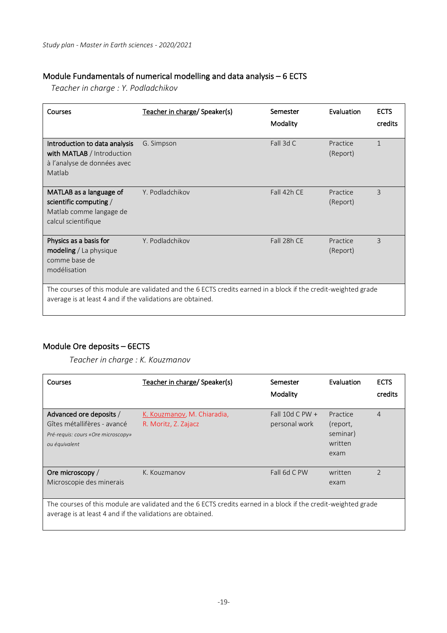## Module Fundamentals of numerical modelling and data analysis – 6 ECTS

*Teacher in charge : Y. Podladchikov*

| Courses                                                                                                                                                                      | Teacher in charge/ Speaker(s) | Semester    | Evaluation           | <b>ECTS</b>    |
|------------------------------------------------------------------------------------------------------------------------------------------------------------------------------|-------------------------------|-------------|----------------------|----------------|
|                                                                                                                                                                              |                               | Modality    |                      | credits        |
| Introduction to data analysis<br>with MATLAB / Introduction<br>à l'analyse de données avec<br>Matlab                                                                         | G. Simpson                    | Fall 3d $C$ | Practice<br>(Report) | $\mathbf{1}$   |
| MATLAB as a language of<br>scientific computing /<br>Matlab comme langage de<br>calcul scientifique                                                                          | Y. Podladchikov               | Fall 42h CE | Practice<br>(Report) | $\overline{3}$ |
| Physics as a basis for<br>modeling / La physique<br>comme base de<br>modélisation                                                                                            | Y. Podladchikov               | Fall 28h CE | Practice<br>(Report) | 3              |
| The courses of this module are validated and the 6 ECTS credits earned in a block if the credit-weighted grade<br>average is at least 4 and if the validations are obtained. |                               |             |                      |                |

## Module Ore deposits – 6ECTS

*Teacher in charge : K. Kouzmanov*

| Courses                                                                                                                                                                      | Teacher in charge/ Speaker(s)                       | Semester<br>Modality               | Evaluation                                          | <b>ECTS</b><br>credits |  |
|------------------------------------------------------------------------------------------------------------------------------------------------------------------------------|-----------------------------------------------------|------------------------------------|-----------------------------------------------------|------------------------|--|
| Advanced ore deposits /<br>Gîtes métallifères - avancé<br>Pré-requis: cours «Ore microscopy»<br>ou équivalent                                                                | K. Kouzmanov, M. Chiaradia,<br>R. Moritz, Z. Zajacz | Fall 10d C PW $+$<br>personal work | Practice<br>(report,<br>seminar)<br>written<br>exam | $\overline{4}$         |  |
| Ore microscopy /<br>Microscopie des minerais                                                                                                                                 | K. Kouzmanov                                        | Fall 6d C PW                       | written<br>exam                                     | $\mathcal{P}$          |  |
| The courses of this module are validated and the 6 ECTS credits earned in a block if the credit-weighted grade<br>average is at least 4 and if the validations are obtained. |                                                     |                                    |                                                     |                        |  |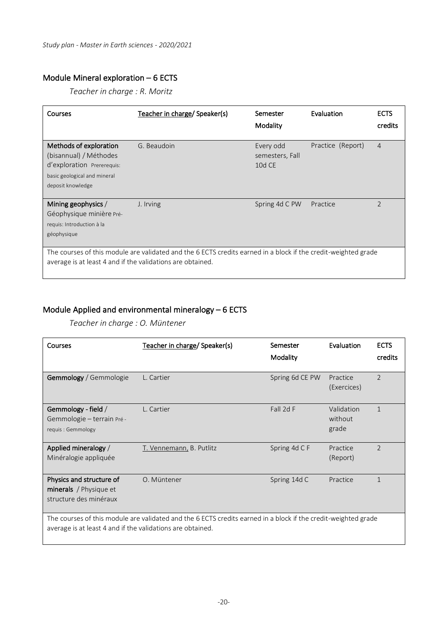## Module Mineral exploration – 6 ECTS

*Teacher in charge : R. Moritz*

| Courses                                                                                                                                                                      | Teacher in charge/ Speaker(s) | Semester<br>Modality                   | Evaluation        | <b>ECTS</b><br>credits |  |
|------------------------------------------------------------------------------------------------------------------------------------------------------------------------------|-------------------------------|----------------------------------------|-------------------|------------------------|--|
| Methods of exploration<br>(bisannual) / Méthodes<br>d'exploration Prererequis:                                                                                               | G. Beaudoin                   | Every odd<br>semesters, Fall<br>10d CE | Practice (Report) | $\overline{4}$         |  |
| basic geological and mineral<br>deposit knowledge                                                                                                                            |                               |                                        |                   |                        |  |
| Mining geophysics /<br>Géophysique minière Pré-<br>requis: Introduction à la<br>géophysique                                                                                  | J. Irving                     | Spring 4d C PW                         | Practice          | $\overline{2}$         |  |
| The courses of this module are validated and the 6 ECTS credits earned in a block if the credit-weighted grade<br>average is at least 4 and if the validations are obtained. |                               |                                        |                   |                        |  |

## Module Applied and environmental mineralogy – 6 ECTS

*Teacher in charge : O. Müntener*

| Courses                                                                                                                                                                      | Teacher in charge/ Speaker(s) | Semester        | Evaluation                     | <b>ECTS</b>    |
|------------------------------------------------------------------------------------------------------------------------------------------------------------------------------|-------------------------------|-----------------|--------------------------------|----------------|
|                                                                                                                                                                              |                               | Modality        |                                | credits        |
| Gemmology / Gemmologie                                                                                                                                                       | L. Cartier                    | Spring 6d CE PW | Practice<br>(Exercices)        | $\mathcal{P}$  |
| Gemmology - field $/$<br>Gemmologie - terrain Pré -<br>requis : Gemmology                                                                                                    | L. Cartier                    | Fall 2d F       | Validation<br>without<br>grade | $\mathbf{1}$   |
| Applied mineralogy /<br>Minéralogie appliquée                                                                                                                                | T. Vennemann, B. Putlitz      | Spring 4d C F   | Practice<br>(Report)           | $\overline{2}$ |
| Physics and structure of<br><b>minerals</b> / Physique et<br>structure des minéraux                                                                                          | O. Müntener                   | Spring 14d C    | Practice                       | $\mathbf{1}$   |
| The courses of this module are validated and the 6 ECTS credits earned in a block if the credit-weighted grade<br>average is at least 4 and if the validations are obtained. |                               |                 |                                |                |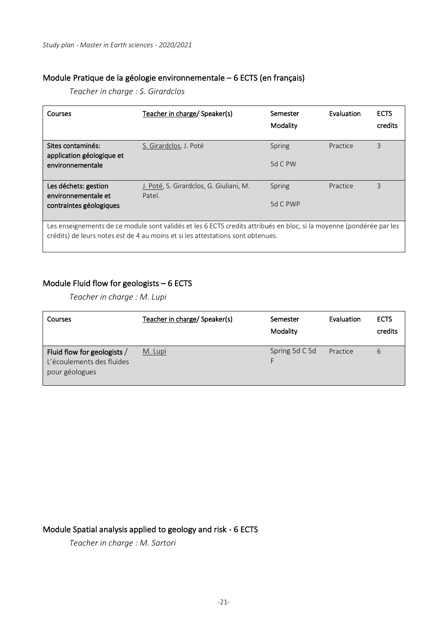#### Module Pratique de la géologie environnementale – 6 ECTS (en français)

*Teacher in charge : S. Girardclos*

| Courses                                                                                                                                                                                                 | Teacher in charge/ Speaker(s)                     | Semester<br>Modality | Evaluation | <b>ECTS</b><br>credits |
|---------------------------------------------------------------------------------------------------------------------------------------------------------------------------------------------------------|---------------------------------------------------|----------------------|------------|------------------------|
| Sites contaminés:<br>application géologique et                                                                                                                                                          | S. Girardclos, J. Poté                            | Spring               | Practice   | 3                      |
| environnementale                                                                                                                                                                                        |                                                   | 5d C PW              |            |                        |
| Les déchets: gestion<br>environnementale et                                                                                                                                                             | J. Poté, S. Girardclos, G. Giuliani, M.<br>Patel. | <b>Spring</b>        | Practice   | 3                      |
| contraintes géologiques                                                                                                                                                                                 |                                                   | 5d C PWP             |            |                        |
| Les enseignements de ce module sont validés et les 6 ECTS credits attribués en bloc, si la moyenne (pondérée par les<br>crédits) de leurs notes est de 4 au moins et si les attestations sont obtenues. |                                                   |                      |            |                        |

#### Module Fluid flow for geologists – 6 ECTS

*Teacher in charge : M. Lupi*

| Courses                                                                    | Teacher in charge/ Speaker(s) | Semester<br>Modality | Evaluation | <b>ECTS</b><br>credits |
|----------------------------------------------------------------------------|-------------------------------|----------------------|------------|------------------------|
| Fluid flow for geologists /<br>L'écoulements des fluides<br>pour géologues | M. Lupi                       | Spring 5d C 5d       | Practice   | 6                      |

## Module Spatial analysis applied to geology and risk - 6 ECTS

*Teacher in charge : M. Sartori*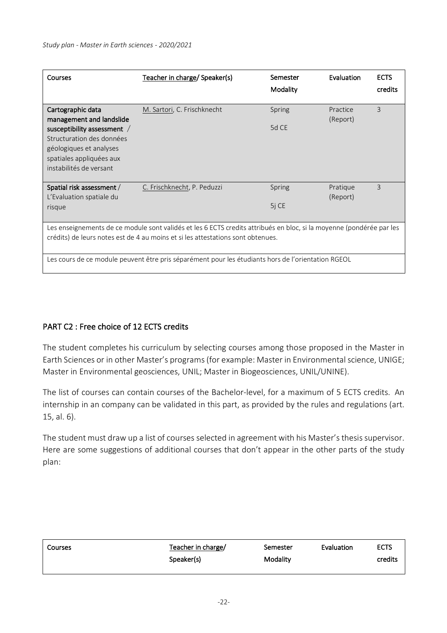| <b>Courses</b>                                                                                                                                                                                                                                                                                                | Teacher in charge/ Speaker(s) | Semester<br>Modality | Evaluation           | <b>ECTS</b><br>credits |  |
|---------------------------------------------------------------------------------------------------------------------------------------------------------------------------------------------------------------------------------------------------------------------------------------------------------------|-------------------------------|----------------------|----------------------|------------------------|--|
| Cartographic data<br>management and landslide<br>susceptibility assessment /<br>Structuration des données<br>géologiques et analyses<br>spatiales appliquées aux<br>instabilités de versant                                                                                                                   | M. Sartori, C. Frischknecht   | Spring<br>5d CE      | Practice<br>(Report) | 3                      |  |
| Spatial risk assessment /<br>L'Evaluation spatiale du<br>risque                                                                                                                                                                                                                                               | C. Frischknecht, P. Peduzzi   | Spring<br>5j CE      | Pratique<br>(Report) | 3                      |  |
| Les enseignements de ce module sont validés et les 6 ECTS credits attribués en bloc, si la moyenne (pondérée par les<br>crédits) de leurs notes est de 4 au moins et si les attestations sont obtenues.<br>Les cours de ce module peuvent être pris séparément pour les étudiants hors de l'orientation RGEOL |                               |                      |                      |                        |  |

## PART C2 : Free choice of 12 ECTS credits

The student completes his curriculum by selecting courses among those proposed in the Master in Earth Sciences or in other Master's programs (for example: Master in Environmental science, UNIGE; Master in Environmental geosciences, UNIL; Master in Biogeosciences, UNIL/UNINE).

The list of courses can contain courses of the Bachelor-level, for a maximum of 5 ECTS credits. An internship in an company can be validated in this part, as provided by the rules and regulations (art. 15, al. 6).

The student must draw up a list of courses selected in agreement with his Master's thesis supervisor. Here are some suggestions of additional courses that don't appear in the other parts of the study plan:

| Courses | Teacher in charge/ | Semester | Evaluation | <b>ECTS</b> |
|---------|--------------------|----------|------------|-------------|
|         | Speaker(s)         | Modality |            | credits     |
|         |                    |          |            |             |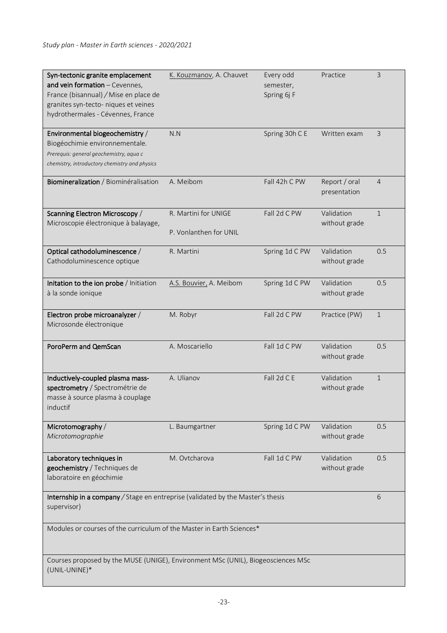| Syn-tectonic granite emplacement<br>and vein formation - Cevennes,<br>France (bisannual) / Mise en place de<br>granites syn-tecto- niques et veines<br>hydrothermales - Cévennes, France | K. Kouzmanov, A. Chauvet                       | Every odd<br>semester,<br>Spring 6j F | Practice                      | $\overline{3}$ |  |
|------------------------------------------------------------------------------------------------------------------------------------------------------------------------------------------|------------------------------------------------|---------------------------------------|-------------------------------|----------------|--|
| Environmental biogeochemistry /<br>Biogéochimie environnementale.<br>Prerequis: general geochemistry, aqua c<br>chemistry, introductory chemistry and physics                            | N.N                                            | Spring 30h C E                        | Written exam                  | 3              |  |
| Biomineralization / Biominéralisation                                                                                                                                                    | A. Meibom                                      | Fall 42h C PW                         | Report / oral<br>presentation | 4              |  |
| Scanning Electron Microscopy /<br>Microscopie électronique à balayage,                                                                                                                   | R. Martini for UNIGE<br>P. Vonlanthen for UNIL | Fall 2d C PW                          | Validation<br>without grade   | $\mathbf{1}$   |  |
| Optical cathodoluminescence /<br>Cathodoluminescence optique                                                                                                                             | R. Martini                                     | Spring 1d C PW                        | Validation<br>without grade   | 0.5            |  |
| Initation to the ion probe / Initiation<br>à la sonde ionique                                                                                                                            | A.S. Bouvier, A. Meibom                        | Spring 1d C PW                        | Validation<br>without grade   | 0.5            |  |
| Electron probe microanalyzer /<br>Microsonde électronique                                                                                                                                | M. Robyr                                       | Fall 2d C PW                          | Practice (PW)                 | $\mathbf{1}$   |  |
| PoroPerm and QemScan                                                                                                                                                                     | A. Moscariello                                 | Fall 1d C PW                          | Validation<br>without grade   | 0.5            |  |
| Inductively-coupled plasma mass-<br>spectrometry / Spectrométrie de<br>masse à source plasma à couplage<br>inductif                                                                      | A. Ulianov                                     | Fall 2d C E                           | Validation<br>without grade   | $\mathbf{1}$   |  |
| Microtomography /<br>Microtomographie                                                                                                                                                    | L. Baumgartner                                 | Spring 1d C PW                        | Validation<br>without grade   | 0.5            |  |
| Laboratory techniques in<br>geochemistry / Techniques de<br>laboratoire en géochimie                                                                                                     | M. Ovtcharova                                  | Fall 1d C PW                          | Validation<br>without grade   | 0.5            |  |
| Internship in a company / Stage en entreprise (validated by the Master's thesis<br>supervisor)                                                                                           |                                                |                                       |                               | 6              |  |
| Modules or courses of the curriculum of the Master in Earth Sciences*                                                                                                                    |                                                |                                       |                               |                |  |
| Courses proposed by the MUSE (UNIGE), Environment MSc (UNIL), Biogeosciences MSc<br>(UNIL-UNINE)*                                                                                        |                                                |                                       |                               |                |  |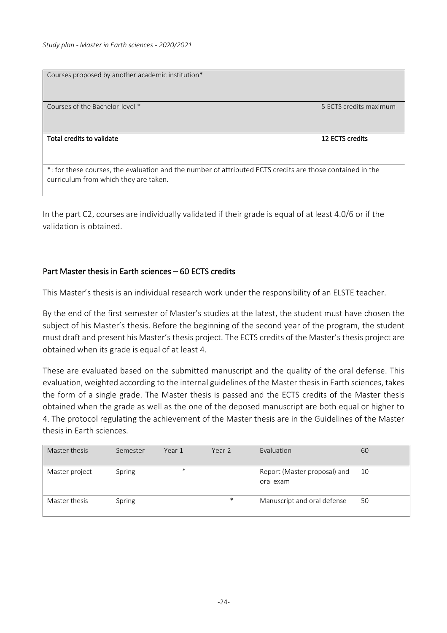Courses proposed by another academic institution\* Courses of the Bachelor-level \* 5 ECTS credits maximum Total credits to validate 12 ECTS credits 12 ECTS credits

\*: for these courses, the evaluation and the number of attributed ECTS credits are those contained in the curriculum from which they are taken.

In the part C2, courses are individually validated if their grade is equal of at least 4.0/6 or if the validation is obtained.

## Part Master thesis in Earth sciences – 60 ECTS credits

This Master's thesis is an individual research work under the responsibility of an ELSTE teacher.

By the end of the first semester of Master's studies at the latest, the student must have chosen the subject of his Master's thesis. Before the beginning of the second year of the program, the student must draft and present his Master's thesis project. The ECTS credits of the Master's thesis project are obtained when its grade is equal of at least 4.

These are evaluated based on the submitted manuscript and the quality of the oral defense. This evaluation, weighted according to the internal guidelines of the Master thesis in Earth sciences, takes the form of a single grade. The Master thesis is passed and the ECTS credits of the Master thesis obtained when the grade as well as the one of the deposed manuscript are both equal or higher to 4. The protocol regulating the achievement of the Master thesis are in the Guidelines of the Master thesis in Earth sciences.

| Master thesis  | Semester | Year 1 | Year 2 | Evaluation                                | 60 |
|----------------|----------|--------|--------|-------------------------------------------|----|
| Master project | Spring   | $\ast$ |        | Report (Master proposal) and<br>oral exam | 10 |
| Master thesis  | Spring   |        | $\ast$ | Manuscript and oral defense               | 50 |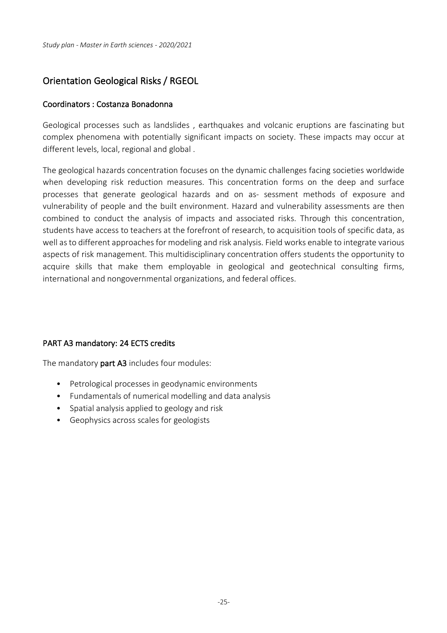## Orientation Geological Risks / RGEOL

## Coordinators : Costanza Bonadonna

Geological processes such as landslides , earthquakes and volcanic eruptions are fascinating but complex phenomena with potentially significant impacts on society. These impacts may occur at different levels, local, regional and global .

The geological hazards concentration focuses on the dynamic challenges facing societies worldwide when developing risk reduction measures. This concentration forms on the deep and surface processes that generate geological hazards and on as- sessment methods of exposure and vulnerability of people and the built environment. Hazard and vulnerability assessments are then combined to conduct the analysis of impacts and associated risks. Through this concentration, students have access to teachers at the forefront of research, to acquisition tools of specific data, as well as to different approaches for modeling and risk analysis. Field works enable to integrate various aspects of risk management. This multidisciplinary concentration offers students the opportunity to acquire skills that make them employable in geological and geotechnical consulting firms, international and nongovernmental organizations, and federal offices.

## PART A3 mandatory: 24 ECTS credits

The mandatory part A3 includes four modules:

- Petrological processes in geodynamic environments
- Fundamentals of numerical modelling and data analysis
- Spatial analysis applied to geology and risk
- Geophysics across scales for geologists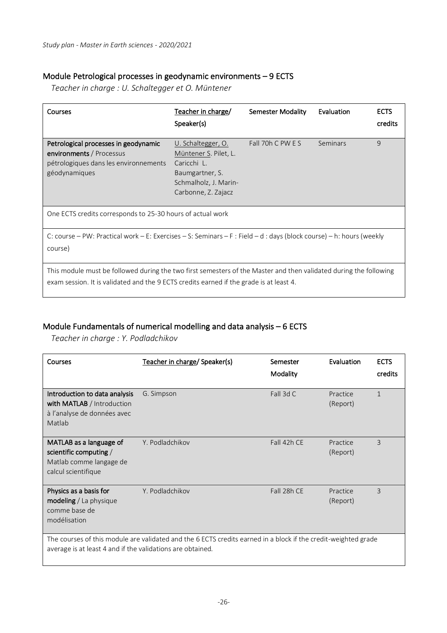## Module Petrological processes in geodynamic environments – 9 ECTS

*Teacher in charge : U. Schaltegger et O. Müntener*

| Courses                                                                                                                                                                                                      | Teacher in charge/<br>Speaker(s)                                                                                              | Semester Modality | Evaluation | <b>ECTS</b><br>credits |
|--------------------------------------------------------------------------------------------------------------------------------------------------------------------------------------------------------------|-------------------------------------------------------------------------------------------------------------------------------|-------------------|------------|------------------------|
| Petrological processes in geodynamic<br>environments / Processus<br>pétrologiques dans les environnements<br>géodynamiques                                                                                   | U. Schaltegger, O.<br>Müntener S. Pilet, L.<br>Caricchi L.<br>Baumgartner, S.<br>Schmalholz, J. Marin-<br>Carbonne, Z. Zajacz | Fall 70h C PW E S | Seminars   | $\mathsf{q}$           |
| One ECTS credits corresponds to 25-30 hours of actual work                                                                                                                                                   |                                                                                                                               |                   |            |                        |
| C: course – PW: Practical work – E: Exercises – S: Seminars – F: Field – d: days (block course) – h: hours (weekly<br>course)                                                                                |                                                                                                                               |                   |            |                        |
| This module must be followed during the two first semesters of the Master and then validated during the following<br>exam session. It is validated and the 9 ECTS credits earned if the grade is at least 4. |                                                                                                                               |                   |            |                        |

## Module Fundamentals of numerical modelling and data analysis – 6 ECTS

*Teacher in charge : Y. Podladchikov*

 $\overline{\phantom{a}}$ 

| Courses                                                                                                                                                                      | Teacher in charge/ Speaker(s) | Semester<br>Modality | Evaluation           | <b>ECTS</b><br>credits |  |
|------------------------------------------------------------------------------------------------------------------------------------------------------------------------------|-------------------------------|----------------------|----------------------|------------------------|--|
| Introduction to data analysis<br>with MATLAB / Introduction<br>à l'analyse de données avec<br>Matlab                                                                         | G. Simpson                    | Fall 3d C            | Practice<br>(Report) | $\mathbf{1}$           |  |
| MATLAB as a language of<br>scientific computing /<br>Matlab comme langage de<br>calcul scientifique                                                                          | Y. Podladchikov               | Fall 42h CE          | Practice<br>(Report) | 3                      |  |
| Physics as a basis for<br><b>modeling</b> / La physique<br>comme base de<br>modélisation                                                                                     | Y. Podladchikov               | Fall 28h CE          | Practice<br>(Report) | 3                      |  |
| The courses of this module are validated and the 6 ECTS credits earned in a block if the credit-weighted grade<br>average is at least 4 and if the validations are obtained. |                               |                      |                      |                        |  |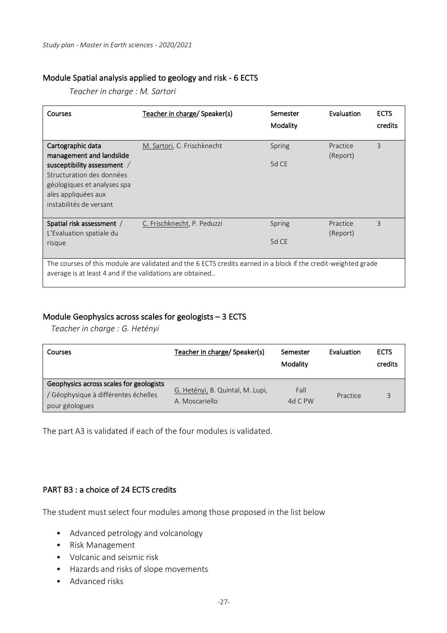#### Module Spatial analysis applied to geology and risk - 6 ECTS

*Teacher in charge : M. Sartori*

| Courses                                                                                                                                                                     | Teacher in charge/ Speaker(s) | Semester<br>Modality | Evaluation | <b>ECTS</b><br>credits |
|-----------------------------------------------------------------------------------------------------------------------------------------------------------------------------|-------------------------------|----------------------|------------|------------------------|
| Cartographic data                                                                                                                                                           | M. Sartori, C. Frischknecht   | Spring               | Practice   | 3                      |
| management and landslide<br>susceptibility assessment /<br>Structuration des données<br>géologiques et analyses spa<br>ales appliquées aux<br>instabilités de versant       |                               | 5d CE                | (Report)   |                        |
| Spatial risk assessment /                                                                                                                                                   | C. Frischknecht, P. Peduzzi   | Spring               | Practice   | 3                      |
| L'Evaluation spatiale du<br>risque                                                                                                                                          |                               | 5d CE                | (Report)   |                        |
| The courses of this module are validated and the 6 ECTS credits earned in a block if the credit-weighted grade<br>average is at least 4 and if the validations are obtained |                               |                      |            |                        |

#### Module Geophysics across scales for geologists – 3 ECTS

*Teacher in charge : G. Hetényi*

| Courses                                                                                           | Teacher in charge/ Speaker(s)                      | Semester<br>Modality | Evaluation | <b>ECTS</b><br>credits |
|---------------------------------------------------------------------------------------------------|----------------------------------------------------|----------------------|------------|------------------------|
| Geophysics across scales for geologists<br>/ Géophysique à différentes échelles<br>pour géologues | G. Hetényi, B. Quintal, M. Lupi,<br>A. Moscariello | Fall<br>4d C $PW$    | Practice   | 3                      |

The part A3 is validated if each of the four modules is validated.

## PART B3 : a choice of 24 ECTS credits

The student must select four modules among those proposed in the list below

- Advanced petrology and volcanology
- Risk Management
- Volcanic and seismic risk
- Hazards and risks of slope movements
- Advanced risks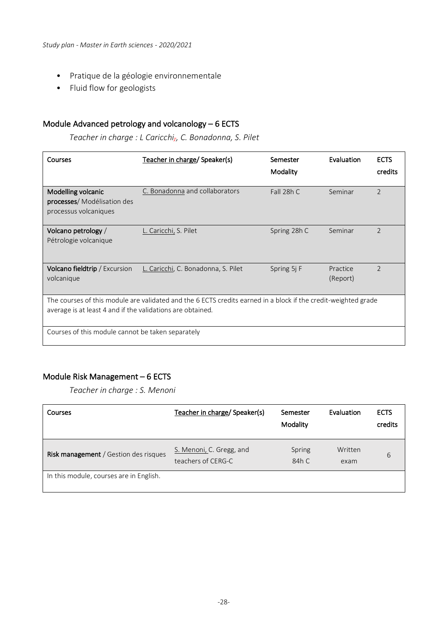- Pratique de la géologie environnementale
- Fluid flow for geologists

## Module Advanced petrology and volcanology – 6 ECTS

*Teacher in charge : L Caricchi,, C. Bonadonna, S. Pilet*

| Courses                                                                                                                                                                      | Teacher in charge/ Speaker(s)       | Semester<br>Modality | Evaluation           | <b>ECTS</b><br>credits |  |
|------------------------------------------------------------------------------------------------------------------------------------------------------------------------------|-------------------------------------|----------------------|----------------------|------------------------|--|
| Modelling volcanic<br>processes/ Modélisation des<br>processus volcaniques                                                                                                   | C. Bonadonna and collaborators      | Fall 28h C           | Seminar              | $\overline{2}$         |  |
| Volcano petrology /<br>Pétrologie volcanique                                                                                                                                 | L. Caricchi, S. Pilet               | Spring 28h C         | Seminar              | $\overline{2}$         |  |
| <b>Volcano fieldtrip</b> / Excursion<br>volcanique                                                                                                                           | L. Caricchi, C. Bonadonna, S. Pilet | Spring 5j F          | Practice<br>(Report) | $\mathfrak{D}$         |  |
| The courses of this module are validated and the 6 ECTS credits earned in a block if the credit-weighted grade<br>average is at least 4 and if the validations are obtained. |                                     |                      |                      |                        |  |
| Courses of this module cannot be taken separately                                                                                                                            |                                     |                      |                      |                        |  |

## Module Risk Management – 6 ECTS

*Teacher in charge : S. Menoni*

| Courses                                 | Teacher in charge/ Speaker(s)                  | Semester<br>Modality | Evaluation      | <b>ECTS</b><br>credits |
|-----------------------------------------|------------------------------------------------|----------------------|-----------------|------------------------|
| Risk management / Gestion des risques   | S. Menoni, C. Gregg, and<br>teachers of CERG-C | Spring<br>84h C      | Written<br>exam | 6                      |
| In this module, courses are in English. |                                                |                      |                 |                        |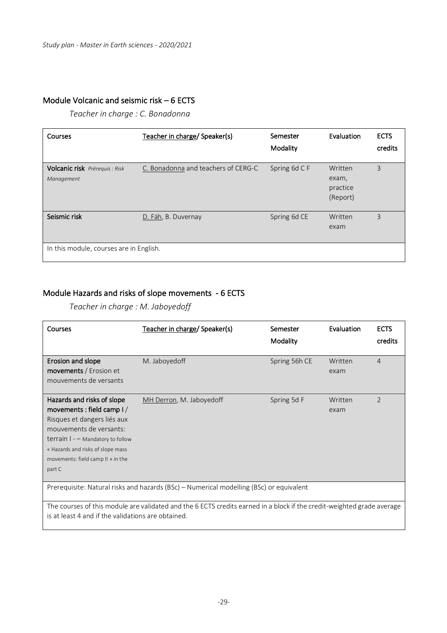## Module Volcanic and seismic risk – 6 ECTS

*Teacher in charge : C. Bonadonna*

| Courses                                                 | Teacher in charge/ Speaker(s)       | Semester<br>Modality | Evaluation                               | <b>ECTS</b><br>credits |
|---------------------------------------------------------|-------------------------------------|----------------------|------------------------------------------|------------------------|
| Volcanic risk Prérequis : Risk<br>Management            | C. Bonadonna and teachers of CERG-C | Spring 6d C F        | Written<br>exam,<br>practice<br>(Report) | 3                      |
| Seismic risk<br>In this module, courses are in English. | D. Fäh, B. Duvernay                 | Spring 6d CE         | Written<br>exam                          | 3                      |

## Module Hazards and risks of slope movements - 6 ECTS

*Teacher in charge : M. Jaboyedoff*

| <b>Courses</b>                                                                                                                                                                                                                                | Teacher in charge/ Speaker(s) | Semester<br>Modality | Evaluation      | <b>ECTS</b><br>credits |
|-----------------------------------------------------------------------------------------------------------------------------------------------------------------------------------------------------------------------------------------------|-------------------------------|----------------------|-----------------|------------------------|
| Erosion and slope<br><b>movements</b> / Erosion et<br>mouvements de versants                                                                                                                                                                  | M. Jaboyed of f               | Spring 56h CE        | Written<br>exam | $\overline{4}$         |
| Hazards and risks of slope<br>movements : field camp $1/$<br>Risques et dangers liés aux<br>mouvements de versants:<br>terrain $I - M$ andatory to follow<br>« Hazards and risks of slope mass<br>movements: field camp II » in the<br>part C | MH Derron, M. Jaboyedoff      | Spring 5d F          | Written<br>exam | $\overline{2}$         |
| Prerequisite: Natural risks and hazards (BSc) - Numerical modelling (BSc) or equivalent                                                                                                                                                       |                               |                      |                 |                        |
| The courses of this module are validated and the 6 ECTS credits earned in a block if the credit-weighted grade average<br>is at least 4 and if the validations are obtained.                                                                  |                               |                      |                 |                        |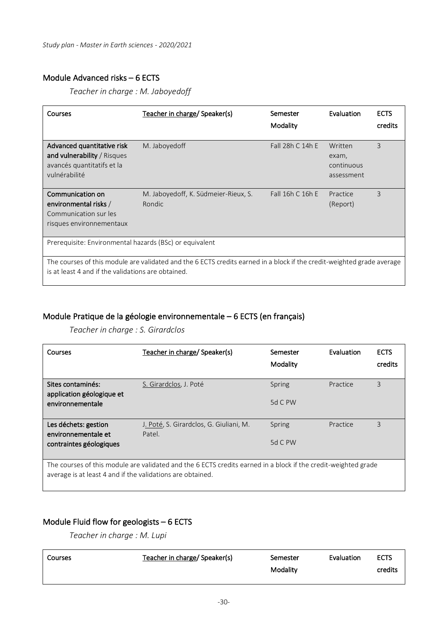## Module Advanced risks – 6 ECTS

*Teacher in charge : M. Jaboyedoff*

| Courses                                                                                                                                                                      | Teacher in charge/ Speaker(s)                  | Semester<br>Modality | Evaluation                                   | <b>ECTS</b><br>credits |
|------------------------------------------------------------------------------------------------------------------------------------------------------------------------------|------------------------------------------------|----------------------|----------------------------------------------|------------------------|
| Advanced quantitative risk<br>and vulnerability / Risques<br>avancés quantitatifs et la<br>vulnérabilité                                                                     | M. Jaboyed of f                                | Fall 28h C 14h E     | Written<br>exam,<br>continuous<br>assessment | 3                      |
| Communication on<br>environmental risks /<br>Communication sur les<br>risques environnementaux                                                                               | M. Jaboyedoff, K. Südmeier-Rieux, S.<br>Rondic | Fall 16h C 16h E     | Practice<br>(Report)                         | 3                      |
| Prerequisite: Environmental hazards (BSc) or equivalent                                                                                                                      |                                                |                      |                                              |                        |
| The courses of this module are validated and the 6 ECTS credits earned in a block if the credit-weighted grade average<br>is at least 4 and if the validations are obtained. |                                                |                      |                                              |                        |

## Module Pratique de la géologie environnementale – 6 ECTS (en français)

*Teacher in charge : S. Girardclos*

| Courses                                                                                                                                                                      | Teacher in charge/ Speaker(s)                     | Semester<br>Modality | Evaluation | <b>ECTS</b><br>credits |
|------------------------------------------------------------------------------------------------------------------------------------------------------------------------------|---------------------------------------------------|----------------------|------------|------------------------|
| Sites contaminés:<br>application géologique et                                                                                                                               | S. Girardclos, J. Poté                            | Spring               | Practice   | 3                      |
| environnementale                                                                                                                                                             |                                                   | 5d C PW              |            |                        |
| Les déchets: gestion<br>environnementale et                                                                                                                                  | J. Poté, S. Girardclos, G. Giuliani, M.<br>Patel. | Spring               | Practice   | 3                      |
| contraintes géologiques                                                                                                                                                      |                                                   | 5d C PW              |            |                        |
| The courses of this module are validated and the 6 ECTS credits earned in a block if the credit-weighted grade<br>average is at least 4 and if the validations are obtained. |                                                   |                      |            |                        |

## Module Fluid flow for geologists – 6 ECTS

*Teacher in charge : M. Lupi*

| l Courses | Teacher in charge/ Speaker(s) | Semester | Evaluation | <b>ECTS</b> |
|-----------|-------------------------------|----------|------------|-------------|
|           |                               | Modality |            | credits     |
|           |                               |          |            |             |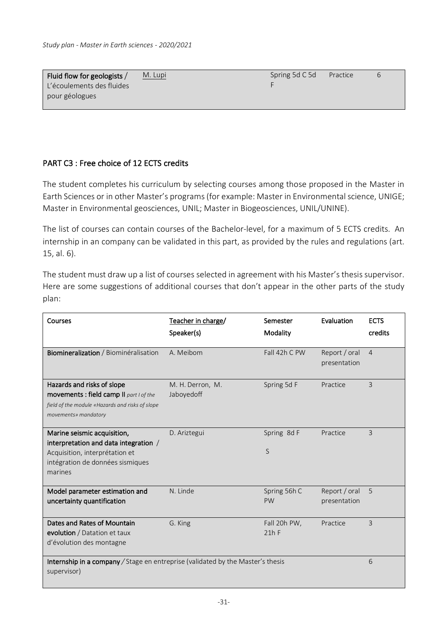| Fluid flow for geologists $/$ | M. Lupi | Spring 5d C 5d | Practice | 6 |
|-------------------------------|---------|----------------|----------|---|
| L'écoulements des fluides     |         |                |          |   |
| pour géologues                |         |                |          |   |

## PART C3 : Free choice of 12 ECTS credits

The student completes his curriculum by selecting courses among those proposed in the Master in Earth Sciences or in other Master's programs (for example: Master in Environmental science, UNIGE; Master in Environmental geosciences, UNIL; Master in Biogeosciences, UNIL/UNINE).

The list of courses can contain courses of the Bachelor-level, for a maximum of 5 ECTS credits. An internship in an company can be validated in this part, as provided by the rules and regulations (art. 15, al. 6).

The student must draw up a list of courses selected in agreement with his Master's thesis supervisor. Here are some suggestions of additional courses that don't appear in the other parts of the study plan:

| Courses                                                                                                                                               | Teacher in charge/<br>Speaker(s) | Semester<br>Modality      | Evaluation                    | <b>ECTS</b><br>credits |
|-------------------------------------------------------------------------------------------------------------------------------------------------------|----------------------------------|---------------------------|-------------------------------|------------------------|
| Biomineralization / Biominéralisation                                                                                                                 | A. Meibom                        | Fall 42h C PW             | Report / oral<br>presentation | $\overline{4}$         |
| Hazards and risks of slope<br>movements : field camp II part I of the<br>field of the module «Hazards and risks of slope<br>movements» mandatory      | M. H. Derron, M.<br>Jaboyedoff   | Spring 5d F               | Practice                      | 3                      |
| Marine seismic acquisition,<br>interpretation and data integration /<br>Acquisition, interprétation et<br>intégration de données sismiques<br>marines | D. Ariztegui                     | Spring 8d F<br>S          | Practice                      | 3                      |
| Model parameter estimation and<br>uncertainty quantification                                                                                          | N. Linde                         | Spring 56h C<br><b>PW</b> | Report / oral<br>presentation | 5                      |
| Dates and Rates of Mountain<br>evolution / Datation et taux<br>d'évolution des montagne                                                               | G. King                          | Fall 20h PW,<br>21hF      | Practice                      | 3                      |
| Internship in a company / Stage en entreprise (validated by the Master's thesis<br>supervisor)                                                        |                                  |                           |                               | 6                      |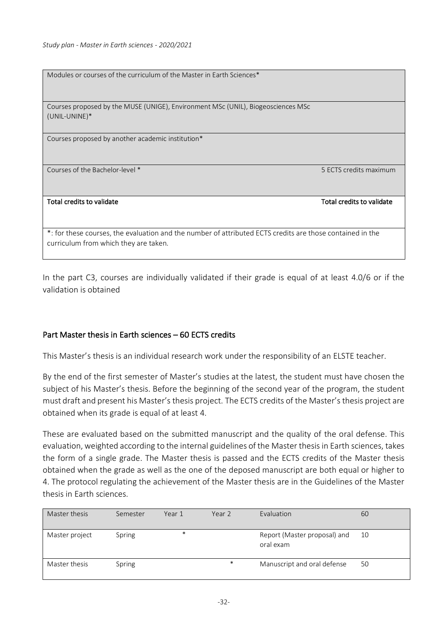| Modules or courses of the curriculum of the Master in Earth Sciences*                                                                              |                           |
|----------------------------------------------------------------------------------------------------------------------------------------------------|---------------------------|
| Courses proposed by the MUSE (UNIGE), Environment MSc (UNIL), Biogeosciences MSc<br>(UNIL-UNINE)*                                                  |                           |
| Courses proposed by another academic institution*                                                                                                  |                           |
| Courses of the Bachelor-level *                                                                                                                    | 5 ECTS credits maximum    |
| Total credits to validate                                                                                                                          | Total credits to validate |
| *: for these courses, the evaluation and the number of attributed ECTS credits are those contained in the<br>curriculum from which they are taken. |                           |

In the part C3, courses are individually validated if their grade is equal of at least 4.0/6 or if the validation is obtained

## Part Master thesis in Earth sciences – 60 ECTS credits

This Master's thesis is an individual research work under the responsibility of an ELSTE teacher.

By the end of the first semester of Master's studies at the latest, the student must have chosen the subject of his Master's thesis. Before the beginning of the second year of the program, the student must draft and present his Master's thesis project. The ECTS credits of the Master's thesis project are obtained when its grade is equal of at least 4.

These are evaluated based on the submitted manuscript and the quality of the oral defense. This evaluation, weighted according to the internal guidelines of the Master thesis in Earth sciences, takes the form of a single grade. The Master thesis is passed and the ECTS credits of the Master thesis obtained when the grade as well as the one of the deposed manuscript are both equal or higher to 4. The protocol regulating the achievement of the Master thesis are in the Guidelines of the Master thesis in Earth sciences.

| Master thesis  | Semester | Year 1 | Year 2 | Evaluation                                | 60 |
|----------------|----------|--------|--------|-------------------------------------------|----|
| Master project | Spring   | $\ast$ |        | Report (Master proposal) and<br>oral exam | 10 |
| Master thesis  | Spring   |        | $\ast$ | Manuscript and oral defense               | 50 |